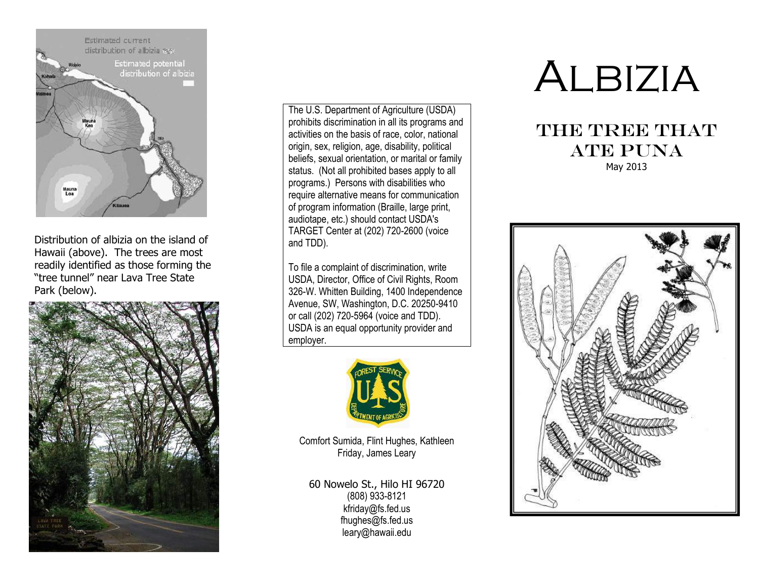

Distribution of albizia on the island of Hawaii (above). The trees are most readily identified as those forming the "tree tunnel" near Lava Tree State Park (below).



The U.S. Department of Agriculture (USDA) prohibits discrimination in all its programs and activities on the basis of race, color, national origin, sex, religion, age, disability, political beliefs, sexual orientation, or marital or family status. (Not all prohibited bases apply to all programs.) Persons with disabilities who require alternative means for communication of program information (Braille, large print, audiotape, etc.) should contact USDA's TARGET Center at (202) 720-2600 (voice and TDD).

To file a complaint of discrimination, write USDA, Director, Office of Civil Rights, Room 326-W. Whitten Building, 1400 Independence Avenue, SW, Washington, D.C. 20250-9410 or call (202) 720-5964 (voice and TDD). USDA is an equal opportunity provider and employer.



Comfort Sumida, Flint Hughes, Kathleen Friday, James Leary

60 Nowelo St., Hilo HI 96720 (808) 933-8121 kfriday@fs.fed.us [fhughes@fs.fed.us](mailto:fhughes@fs.fed.us) leary@hawaii.edu

## Albizia

## THE TREE THAT ATE PUNA May 2013